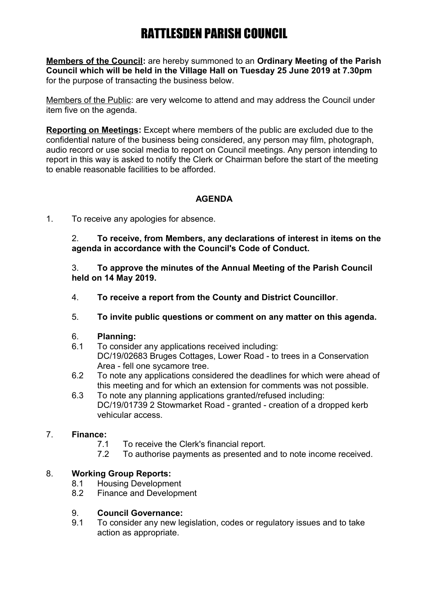**Members of the Council:** are hereby summoned to an **Ordinary Meeting of the Parish Council which will be held in the Village Hall on Tuesday 25 June 2019 at 7.30pm** for the purpose of transacting the business below.

Members of the Public: are very welcome to attend and may address the Council under item five on the agenda.

**Reporting on Meetings:** Except where members of the public are excluded due to the confidential nature of the business being considered, any person may film, photograph, audio record or use social media to report on Council meetings. Any person intending to report in this way is asked to notify the Clerk or Chairman before the start of the meeting to enable reasonable facilities to be afforded.

### **AGENDA**

1. To receive any apologies for absence.

2. **To receive, from Members, any declarations of interest in items on the agenda in accordance with the Council's Code of Conduct.**

3. **To approve the minutes of the Annual Meeting of the Parish Council held on 14 May 2019.**

- 4. **To receive a report from the County and District Councillor**.
- 5. **To invite public questions or comment on any matter on this agenda.**

#### 6. **Planning:**

- 6.1 To consider any applications received including: DC/19/02683 Bruges Cottages, Lower Road - to trees in a Conservation Area - fell one sycamore tree.
- 6.2 To note any applications considered the deadlines for which were ahead of this meeting and for which an extension for comments was not possible.
- 6.3 To note any planning applications granted/refused including: DC/19/01739 2 Stowmarket Road - granted - creation of a dropped kerb vehicular access.

### 7. **Finance:**

- 7.1 To receive the Clerk's financial report.
- 7.2 To authorise payments as presented and to note income received.

### 8. **Working Group Reports:**

- 8.1 Housing Development
- 8.2 Finance and Development

#### 9. **Council Governance:**

9.1 To consider any new legislation, codes or regulatory issues and to take action as appropriate.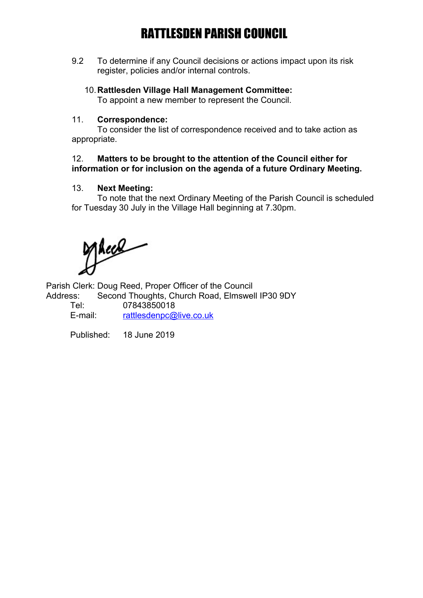9.2 To determine if any Council decisions or actions impact upon its risk register, policies and/or internal controls.

#### 10.**Rattlesden Village Hall Management Committee:**

To appoint a new member to represent the Council.

#### 11. **Correspondence:**

To consider the list of correspondence received and to take action as appropriate.

#### 12. **Matters to be brought to the attention of the Council either for information or for inclusion on the agenda of a future Ordinary Meeting.**

#### 13. **Next Meeting:**

To note that the next Ordinary Meeting of the Parish Council is scheduled for Tuesday 30 July in the Village Hall beginning at 7.30pm.

Thees

Parish Clerk: Doug Reed, Proper Officer of the Council

Address: Second Thoughts, Church Road, Elmswell IP30 9DY Tel: 07843850018 E-mail: [rattlesdenpc@live.co.uk](mailto:rattlesdenpc@live.co.uk)

Published: 18 June 2019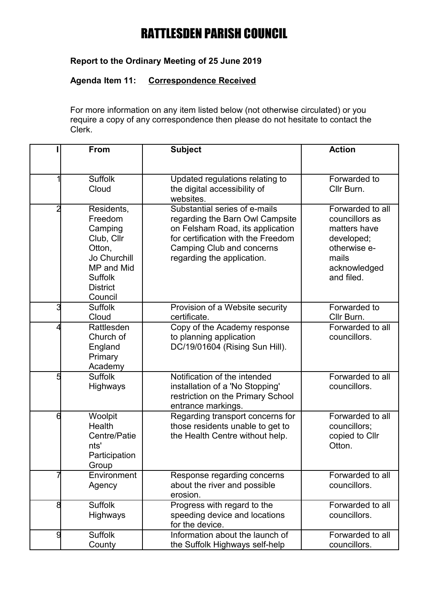## **Report to the Ordinary Meeting of 25 June 2019**

### **Agenda Item 11: Correspondence Received**

For more information on any item listed below (not otherwise circulated) or you require a copy of any correspondence then please do not hesitate to contact the Clerk.

|   | <b>From</b>                                                                                                                            | <b>Subject</b>                                                                                                                                                                                               | <b>Action</b>                                                                                                           |
|---|----------------------------------------------------------------------------------------------------------------------------------------|--------------------------------------------------------------------------------------------------------------------------------------------------------------------------------------------------------------|-------------------------------------------------------------------------------------------------------------------------|
|   |                                                                                                                                        |                                                                                                                                                                                                              |                                                                                                                         |
|   | <b>Suffolk</b><br>Cloud                                                                                                                | Updated regulations relating to<br>the digital accessibility of<br>websites.                                                                                                                                 | Forwarded to<br>Cllr Burn.                                                                                              |
| 2 | Residents,<br>Freedom<br>Camping<br>Club, Cllr<br>Otton,<br>Jo Churchill<br>MP and Mid<br><b>Suffolk</b><br><b>District</b><br>Council | Substantial series of e-mails<br>regarding the Barn Owl Campsite<br>on Felsham Road, its application<br>for certification with the Freedom<br><b>Camping Club and concerns</b><br>regarding the application. | Forwarded to all<br>councillors as<br>matters have<br>developed;<br>otherwise e-<br>mails<br>acknowledged<br>and filed. |
| 3 | <b>Suffolk</b><br>Cloud                                                                                                                | Provision of a Website security<br>certificate.                                                                                                                                                              | Forwarded to<br>Cllr Burn.                                                                                              |
|   | Rattlesden<br>Church of<br>England<br>Primary<br>Academy                                                                               | Copy of the Academy response<br>to planning application<br>DC/19/01604 (Rising Sun Hill).                                                                                                                    | Forwarded to all<br>councillors.                                                                                        |
| 5 | <b>Suffolk</b><br>Highways                                                                                                             | Notification of the intended<br>installation of a 'No Stopping'<br>restriction on the Primary School<br>entrance markings.                                                                                   | Forwarded to all<br>councillors.                                                                                        |
| 6 | Woolpit<br>Health<br>Centre/Patie<br>nts'<br>Participation<br>Group                                                                    | Regarding transport concerns for<br>those residents unable to get to<br>the Health Centre without help.                                                                                                      | Forwarded to all<br>councillors;<br>copied to Cllr<br>Otton.                                                            |
|   | Environment<br>Agency                                                                                                                  | Response regarding concerns<br>about the river and possible<br>erosion.                                                                                                                                      | Forwarded to all<br>councillors.                                                                                        |
| 8 | <b>Suffolk</b><br>Highways                                                                                                             | Progress with regard to the<br>speeding device and locations<br>for the device.                                                                                                                              | Forwarded to all<br>councillors.                                                                                        |
| g | <b>Suffolk</b><br>County                                                                                                               | Information about the launch of<br>the Suffolk Highways self-help                                                                                                                                            | Forwarded to all<br>councillors.                                                                                        |